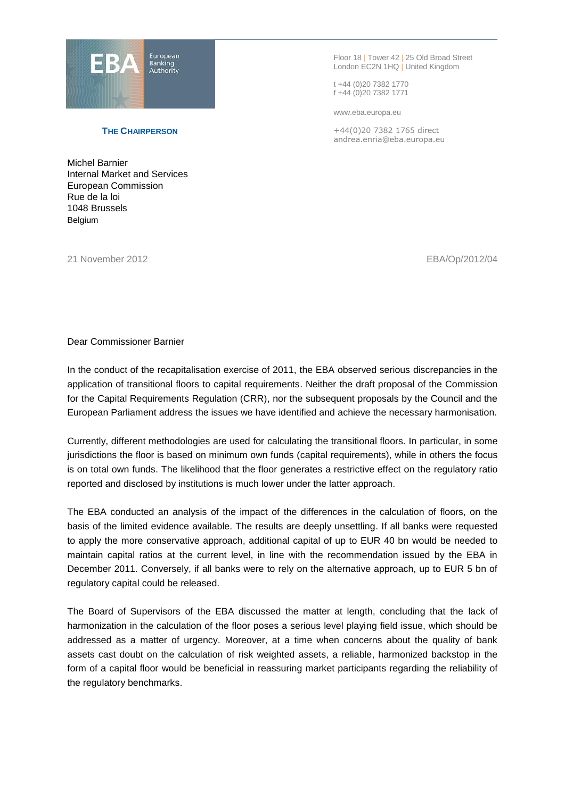

Floor 18 | Tower 42 | 25 Old Broad Street London EC2N 1HQ | United Kingdom

t +44 (0)20 7382 1770 f +44 (0)20 7382 1771

www.eba.europa.eu

+44(0)20 7382 1765 direct andrea.enria@eba.europa.eu

## **THE CHAIRPERSON**

Michel Barnier Internal Market and Services European Commission Rue de la loi 1048 Brussels Belgium

21 November 2012 EBA/Op/2012/04

## Dear Commissioner Barnier

In the conduct of the recapitalisation exercise of 2011, the EBA observed serious discrepancies in the application of transitional floors to capital requirements. Neither the draft proposal of the Commission for the Capital Requirements Regulation (CRR), nor the subsequent proposals by the Council and the European Parliament address the issues we have identified and achieve the necessary harmonisation.

Currently, different methodologies are used for calculating the transitional floors. In particular, in some jurisdictions the floor is based on minimum own funds (capital requirements), while in others the focus is on total own funds. The likelihood that the floor generates a restrictive effect on the regulatory ratio reported and disclosed by institutions is much lower under the latter approach.

The EBA conducted an analysis of the impact of the differences in the calculation of floors, on the basis of the limited evidence available. The results are deeply unsettling. If all banks were requested to apply the more conservative approach, additional capital of up to EUR 40 bn would be needed to maintain capital ratios at the current level, in line with the recommendation issued by the EBA in December 2011. Conversely, if all banks were to rely on the alternative approach, up to EUR 5 bn of regulatory capital could be released.

The Board of Supervisors of the EBA discussed the matter at length, concluding that the lack of harmonization in the calculation of the floor poses a serious level playing field issue, which should be addressed as a matter of urgency. Moreover, at a time when concerns about the quality of bank assets cast doubt on the calculation of risk weighted assets, a reliable, harmonized backstop in the form of a capital floor would be beneficial in reassuring market participants regarding the reliability of the regulatory benchmarks.